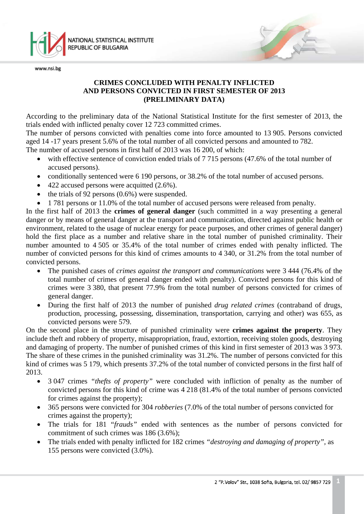

## **CRIMES CONCLUDED WITH PENALTY INFLICTED AND PERSONS CONVICTED IN FIRST SEMESTER OF 2013 (PRELIMINARY DATA)**

According to the preliminary data of the National Statistical Institute for the first semester of 2013, the trials ended with inflicted penalty cover 12 723 committed crimes.

The number of persons convicted with penalties come into force amounted to 13 905. Persons convicted aged 14 -17 years present 5.6% of the total number of all convicted persons and amounted to 782.

The number of accused persons in first half of 2013 was 16 200, of which:

- with effective sentence of conviction ended trials of 7 715 persons (47.6% of the total number of accused persons).
- conditionally sentenced were 6 190 persons, or 38.2% of the total number of accused persons.
- 422 accused persons were acquitted  $(2.6\%)$ .
- the trials of 92 persons  $(0.6%)$  were suspended.
- 1 781 persons or 11.0% of the total number of accused persons were released from penalty.

In the first half of 2013 the **crimes of general danger** (such committed in a way presenting a general danger or by means of general danger at the transport and communication, directed against public health or environment, related to the usage of nuclear energy for peace purposes, and other crimes of general danger) hold the first place as a number and relative share in the total number of punished criminality. Their number amounted to 4 505 or 35.4% of the total number of crimes ended with penalty inflicted. The number of convicted persons for this kind of crimes amounts to 4 340, or 31.2% from the total number of convicted persons.

- The punished cases of *crimes against the transport and communications* were 3 444 (76.4% of the total number of crimes of general danger ended with penalty). Convicted persons for this kind of crimes were 3 380, that present 77.9% from the total number of persons convicted for crimes of general danger.
- During the first half of 2013 the number of punished *drug related crimes* (contraband of drugs, production, processing, possessing, dissemination, transportation, carrying and other) was 655, as convicted persons were 579.

On the second place in the structure of punished criminality were **crimes against the property**. They include theft and robbery of property, misappropriation, fraud, extortion, receiving stolen goods, destroying and damaging of property. The number of punished crimes of this kind in first semester of 2013 was 3 973. The share of these crimes in the punished criminality was 31.2%. The number of persons convicted for this kind of crimes was 5 179, which presents 37.2% of the total number of convicted persons in the first half of 2013.

- 3 047 crimes *"thefts of property"* were concluded with infliction of penalty as the number of convicted persons for this kind of crime was 4 218 (81.4% of the total number of persons convicted for crimes against the property);
- 365 persons were convicted for 304 *robberies* (7.0% of the total number of persons convicted for crimes against the property);
- The trials for 181 "*frauds"* ended with sentences as the number of persons convicted for commitment of such crimes was 186 (3.6%);
- The trials ended with penalty inflicted for 182 crimes *"destroying and damaging of property",* as 155 persons were convicted (3.0%).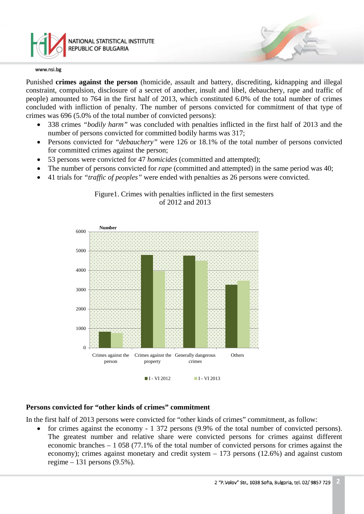

Punished **crimes against the person** (homicide, assault and battery, discrediting, kidnapping and illegal constraint, compulsion, disclosure of a secret of another, insult and libel, debauchery, rape and traffic of people) amounted to 764 in the first half of 2013, which constituted 6.0% of the total number of crimes concluded with infliction of penalty. The number of persons convicted for commitment of that type of crimes was 696 (5.0% of the total number of convicted persons):

- 338 crimes *"bodily harm"* was concluded with penalties inflicted in the first half of 2013 and the number of persons convicted for committed bodily harms was 317;
- Persons convicted for *"debauchery"* were 126 or 18.1% of the total number of persons convicted for committed crimes against the person;
- 53 persons were convicted for 47 *homicides* (committed and attempted);
- The number of persons convicted for *rape* (committed and attempted) in the same period was 40;
- 41 trials for *"traffic of peoples"* were ended with penalties as 26 persons were convicted.





## **Persons convicted for "other kinds of crimes" commitment**

In the first half of 2013 persons were convicted for "other kinds of crimes" commitment, as follow:

• for crimes against the economy - 1 372 persons (9.9% of the total number of convicted persons). The greatest number and relative share were convicted persons for crimes against different economic branches – 1 058 (77.1% of the total number of convicted persons for crimes against the economy); crimes against monetary and credit system – 173 persons (12.6%) and against custom regime – 131 persons (9.5%).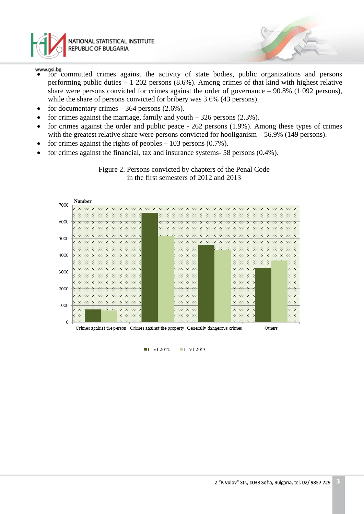

- for committed crimes against the activity of state bodies, public organizations and persons performing public duties – 1 202 persons (8.6%). Among crimes of that kind with highest relative share were persons convicted for crimes against the order of governance – 90.8% (1 092 persons), while the share of persons convicted for bribery was 3.6% (43 persons).
- for documentary crimes  $-364$  persons  $(2.6\%)$ .
- for crimes against the marriage, family and youth  $-326$  persons (2.3%).
- for crimes against the order and public peace 262 persons (1.9%). Among these types of crimes with the greatest relative share were persons convicted for hooliganism – 56.9% (149 persons).
- for crimes against the rights of peoples  $-103$  persons  $(0.7\%)$ .
- for crimes against the financial, tax and insurance systems- 58 persons (0.4%).



Figure 2. Persons convicted by chapters of the Penal Code in the first semesters of 2012 and 2013

> $II$  - VI 2012  $\blacksquare$  I - VI 2013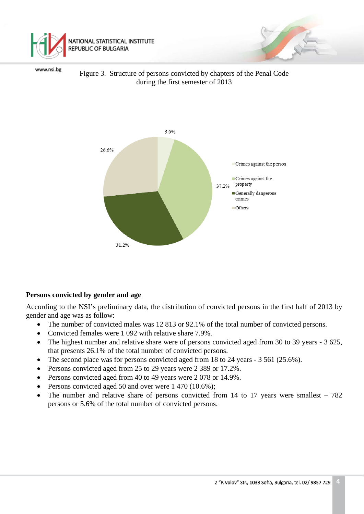



Figure 3. Structure of persons convicted by chapters of the Penal Code during the first semester of 2013



#### **Persons convicted by gender and age**

According to the NSI's preliminary data, the distribution of convicted persons in the first half of 2013 by gender and age was as follow:

- The number of convicted males was 12 813 or 92.1% of the total number of convicted persons.
- Convicted females were 1 092 with relative share 7.9%.
- The highest number and relative share were of persons convicted aged from 30 to 39 years 3 625, that presents 26.1% of the total number of convicted persons.
- The second place was for persons convicted aged from 18 to 24 years 3 561 (25.6%).
- Persons convicted aged from 25 to 29 years were 2 389 or 17.2%.
- Persons convicted aged from 40 to 49 years were 2 078 or 14.9%.
- Persons convicted aged 50 and over were 1 470 (10.6%);
- The number and relative share of persons convicted from 14 to 17 years were smallest  $-782$ persons or 5.6% of the total number of convicted persons.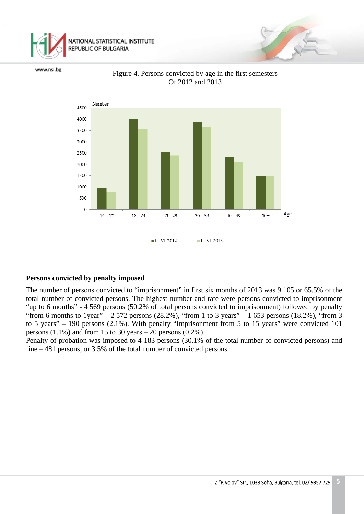

Number 4500 4000 3500 3000 2500 2000 1500 1000 500  $\mathbf 0$ Age  $14 - 17$  $18 - 24$  $25 - 29$  $30 - 39$  $40 - 49$  $50+$  $-I$  - VI 2012  $-I$  - VI 2013

www.nsi.bg

#### Figure 4. Persons convicted by age in the first semesters Of 2012 and 2013

## **Persons convicted by penalty imposed**

The number of persons convicted to "imprisonment" in first six months of 2013 was 9 105 or 65.5% of the total number of convicted persons. The highest number and rate were persons convicted to imprisonment "up to 6 months" - 4 569 persons (50.2% of total persons convicted to imprisonment) followed by penalty "from 6 months to 1year" –  $2572$  persons (28.2%), "from 1 to 3 years" – 1 653 persons (18.2%), "from 3 to 5 years" – 190 persons (2.1%). With penalty "Imprisonment from 5 to 15 years" were convicted 101 persons  $(1.1\%)$  and from 15 to 30 years – 20 persons  $(0.2\%)$ .

Penalty of probation was imposed to 4 183 persons (30.1% of the total number of convicted persons) and fine – 481 persons, or 3.5% of the total number of convicted persons.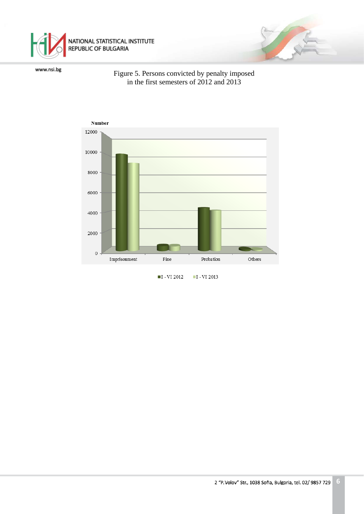

#### Figure 5. Persons convicted by penalty imposed in the first semesters of 2012 and 2013



 $II - VI 2012$  $-I$  - VI 2013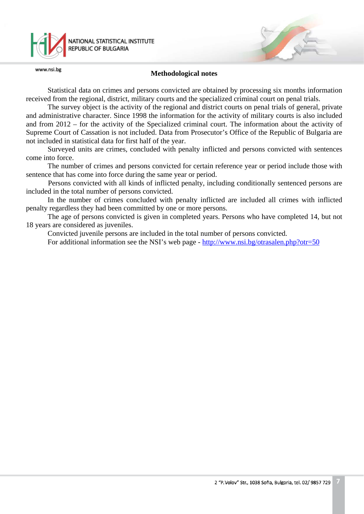

#### **Methodological notes**

Statistical data on crimes and persons convicted are obtained by processing six months information received from the regional, district, military courts and the specialized criminal court on penal trials.

The survey object is the activity of the regional and district courts on penal trials of general, private and administrative character. Since 1998 the information for the activity of military courts is also included and from 2012 – for the activity of the Specialized criminal court. The information about the activity of Supreme Court of Cassation is not included. Data from Prosecutor's Office of the Republic of Bulgaria are not included in statistical data for first half of the year.

Surveyed units are crimes, concluded with penalty inflicted and persons convicted with sentences come into force.

The number of crimes and persons convicted for certain reference year or period include those with sentence that has come into force during the same year or period.

Persons convicted with all kinds of inflicted penalty, including conditionally sentenced persons are included in the total number of persons convicted.

In the number of crimes concluded with penalty inflicted are included all crimes with inflicted penalty regardless they had been committed by one or more persons.

The age of persons convicted is given in completed years. Persons who have completed 14, but not 18 years are considered as juveniles.

Convicted juvenile persons are included in the total number of persons convicted.

For additional information see the NSI's web page - <http://www.nsi.bg/otrasalen.php?otr=50>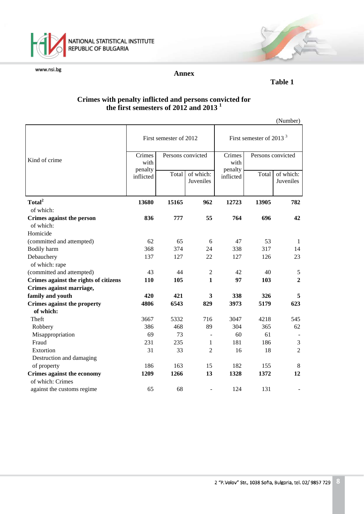

NATIONAL STATISTICAL INSTITUTE<br>REPUBLIC OF BULGARIA

www.nsi.bg

#### **Annex**

#### *Table 1*

## **Crimes with penalty inflicted and persons convicted for the first semesters of 2012 and 2013 <sup>1</sup>**

|                                                       |                           |                   |                        |                                     |                   | (Number)               |
|-------------------------------------------------------|---------------------------|-------------------|------------------------|-------------------------------------|-------------------|------------------------|
|                                                       | First semester of 2012    |                   |                        | First semester of 2013 <sup>3</sup> |                   |                        |
| Kind of crime                                         | Crimes<br>with<br>penalty | Persons convicted |                        | Crimes<br>with<br>penalty           | Persons convicted |                        |
|                                                       | inflicted                 | Total             | of which:<br>Juveniles | inflicted                           | Total             | of which:<br>Juveniles |
| Total <sup>2</sup>                                    | 13680                     | 15165             | 962                    | 12723                               | 13905             | 782                    |
| of which:                                             |                           |                   |                        |                                     |                   |                        |
| Crimes against the person                             | 836                       | 777               | 55                     | 764                                 | 696               | 42                     |
| of which:                                             |                           |                   |                        |                                     |                   |                        |
| Homicide                                              |                           |                   |                        |                                     |                   |                        |
| (committed and attempted)                             | 62                        | 65                | 6                      | 47                                  | 53                | -1                     |
| Bodily harm                                           | 368                       | 374               | 24                     | 338                                 | 317               | 14                     |
| Debauchery                                            | 137                       | 127               | 22                     | 127                                 | 126               | 23                     |
| of which: rape                                        |                           |                   |                        |                                     |                   |                        |
| (committed and attempted)                             | 43                        | 44                | $\overline{2}$         | 42                                  | 40                | $\sqrt{5}$             |
| Crimes against the rights of citizens                 | 110                       | 105               | $\mathbf{1}$           | 97                                  | 103               | $\overline{2}$         |
| Crimes against marriage,                              |                           |                   |                        |                                     |                   |                        |
| family and youth                                      | 420                       | 421               | 3                      | 338                                 | 326               | 5                      |
| <b>Crimes against the property</b>                    | 4806                      | 6543              | 829                    | 3973                                | 5179              | 623                    |
| of which:                                             |                           |                   |                        |                                     |                   |                        |
| Theft                                                 | 3667                      | 5332              | 716                    | 3047                                | 4218              | 545                    |
| Robbery                                               | 386                       | 468               | 89                     | 304                                 | 365<br>61         | 62                     |
| Misappropriation<br>Fraud                             | 69<br>231                 | 73<br>235         |                        | 60<br>181                           | 186               |                        |
|                                                       |                           | 33                | 1                      |                                     |                   | 3<br>$\overline{2}$    |
| Extortion                                             | 31                        |                   | $\overline{2}$         | 16                                  | 18                |                        |
| Destruction and damaging                              | 186                       | 163               | 15                     | 182                                 | 155               | $\,8\,$                |
| of property                                           | 1209                      | 1266              | 13                     | 1328                                | 1372              | 12                     |
| <b>Crimes against the economy</b><br>of which: Crimes |                           |                   |                        |                                     |                   |                        |
| against the customs regime                            | 65                        | 68                |                        | 124                                 | 131               |                        |
|                                                       |                           |                   |                        |                                     |                   |                        |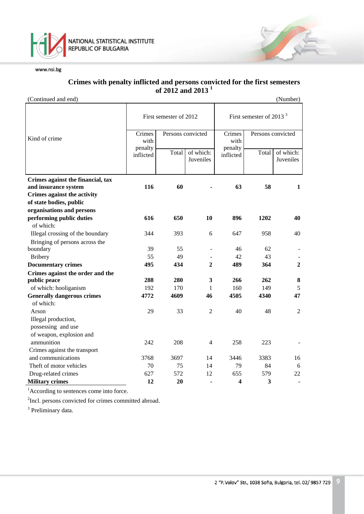

#### **Crimes with penalty inflicted and persons convicted for the first semesters of 2012 and 2013 1**

(Continued and end) (Number)

|                                                     | First semester of 2012 |                   |                        | First semester of 2013 $3$ |                   |                        |
|-----------------------------------------------------|------------------------|-------------------|------------------------|----------------------------|-------------------|------------------------|
| Kind of crime                                       | Crimes<br>with         | Persons convicted |                        | Crimes<br>with             | Persons convicted |                        |
|                                                     | penalty<br>inflicted   | Total             | of which:<br>Juveniles | penalty<br>inflicted       | Total             | of which:<br>Juveniles |
| Crimes against the financial, tax                   | 116                    | 60                |                        | 63                         | 58                | 1                      |
| and insurance system<br>Crimes against the activity |                        |                   |                        |                            |                   |                        |
| of state bodies, public                             |                        |                   |                        |                            |                   |                        |
| organisations and persons                           |                        |                   |                        |                            |                   |                        |
| performing public duties                            | 616                    | 650               | 10                     | 896                        | 1202              | 40                     |
| of which:                                           |                        |                   |                        |                            |                   |                        |
| Illegal crossing of the boundary                    | 344                    | 393               | 6                      | 647                        | 958               | 40                     |
| Bringing of persons across the                      |                        |                   |                        |                            |                   |                        |
| boundary                                            | 39                     | 55                |                        | 46                         | 62                |                        |
| <b>Bribery</b>                                      | 55                     | 49                |                        | 42                         | 43                |                        |
| <b>Documentary crimes</b>                           | 495                    | 434               | $\mathbf{2}$           | 489                        | 364               | $\mathbf{2}$           |
| Crimes against the order and the                    |                        |                   |                        |                            |                   |                        |
| public peace                                        | 288                    | 280               | $\mathbf{3}$           | 266                        | 262               | $\bf{8}$               |
| of which: hooliganism                               | 192                    | 170               | 1                      | 160                        | 149               | 5                      |
| <b>Generally dangerous crimes</b>                   | 4772                   | 4609              | 46                     | 4505                       | 4340              | 47                     |
| of which:                                           |                        |                   |                        |                            |                   |                        |
| Arson                                               | 29                     | 33                | 2                      | 40                         | 48                | 2                      |
| Illegal production,                                 |                        |                   |                        |                            |                   |                        |
| possessing and use                                  |                        |                   |                        |                            |                   |                        |
| of weapon, explosion and                            |                        |                   |                        |                            |                   |                        |
| ammunition                                          | 242                    | 208               | $\overline{4}$         | 258                        | 223               |                        |
| Crimes against the transport                        |                        |                   |                        |                            |                   |                        |
| and communications                                  | 3768                   | 3697              | 14                     | 3446                       | 3383              | 16                     |
| Theft of motor vehicles                             | 70                     | 75                | 14                     | 79                         | 84                | 6                      |
| Drug-related crimes                                 | 627                    | 572               | 12                     | 655                        | 579               | 22                     |
| <b>Military crimes</b>                              | 12                     | 20                |                        | 4                          | 3                 |                        |

<sup>1</sup>According to sentences come into force.

<sup>2</sup>Incl. persons convicted for crimes committed abroad.

<sup>3</sup> Preliminary data.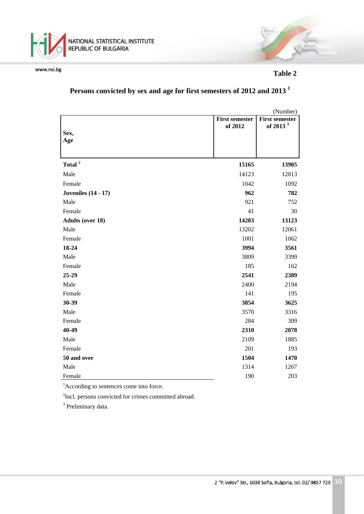

 **Table 2**

# Persons convicted by sex and age for first semesters of 2012 and 2013<sup>1</sup>

|                            |                       | (Number)              |
|----------------------------|-----------------------|-----------------------|
|                            | <b>First semester</b> | <b>First semester</b> |
| Sex,                       | of 2012               | of 2013 <sup>3</sup>  |
| Age                        |                       |                       |
|                            |                       |                       |
|                            |                       |                       |
| Total <sup>2</sup>         | 15165                 | 13905                 |
| Male                       | 14123                 | 12813                 |
| Female                     | 1042                  | 1092                  |
| <b>Juveniles</b> (14 - 17) | 962                   | 782                   |
| Male                       | 921                   | 752                   |
| Female                     | 41                    | 30                    |
| <b>Adults (over 18)</b>    | 14203                 | 13123                 |
| Male                       | 13202                 | 12061                 |
| Female                     | 1001                  | 1062                  |
| 18-24                      | 3994                  | 3561                  |
| Male                       | 3809                  | 3399                  |
| Female                     | 185                   | 162                   |
| 25-29                      | 2541                  | 2389                  |
| Male                       | 2400                  | 2194                  |
| Female                     | 141                   | 195                   |
| 30-39                      | 3854                  | 3625                  |
| Male                       | 3570                  | 3316                  |
| Female                     | 284                   | 309                   |
| 40-49                      | 2310                  | 2078                  |
| Male                       | 2109                  | 1885                  |
| Female                     | 201                   | 193                   |
| 50 and over                | 1504                  | 1470                  |
| Male                       | 1314                  | 1267                  |
| Female                     | 190                   | 203                   |

<sup>1</sup>According to sentences come into force.

<sup>2</sup>Incl. persons convicted for crimes committed abroad.

<sup>3</sup> Preliminary data.